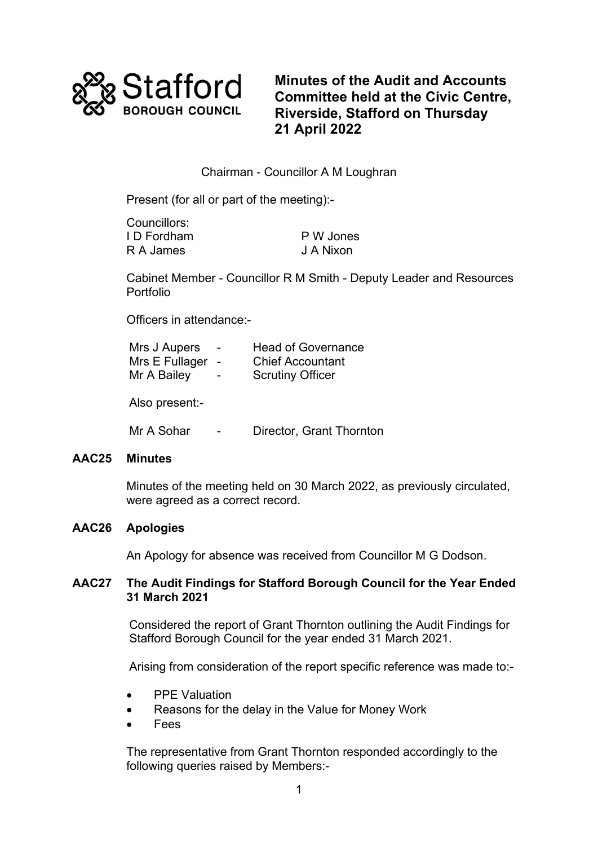

**Minutes of the Audit and Accounts Committee held at the Civic Centre, Riverside, Stafford on Thursday 21 April 2022**

# Chairman - Councillor A M Loughran

Present (for all or part of the meeting):-

| Councillors: |           |
|--------------|-----------|
| I D Fordham  | P W Jones |
| R A James    | J A Nixon |

Cabinet Member - Councillor R M Smith - Deputy Leader and Resources Portfolio

Officers in attendance:-

| Mrs J Aupers   | $\overline{\phantom{0}}$ | <b>Head of Governance</b> |
|----------------|--------------------------|---------------------------|
| Mrs E Fullager |                          | <b>Chief Accountant</b>   |
| Mr A Bailey    |                          | <b>Scrutiny Officer</b>   |
|                |                          |                           |

Also present:-

Mr A Sohar - Director, Grant Thornton

#### **AAC25 Minutes**

Minutes of the meeting held on 30 March 2022, as previously circulated, were agreed as a correct record.

# **AAC26 Apologies**

An Apology for absence was received from Councillor M G Dodson.

## **AAC27 The Audit Findings for Stafford Borough Council for the Year Ended 31 March 2021**

Considered the report of Grant Thornton outlining the Audit Findings for Stafford Borough Council for the year ended 31 March 2021.

Arising from consideration of the report specific reference was made to:-

- PPE Valuation
- Reasons for the delay in the Value for Money Work
- **Fees**

The representative from Grant Thornton responded accordingly to the following queries raised by Members:-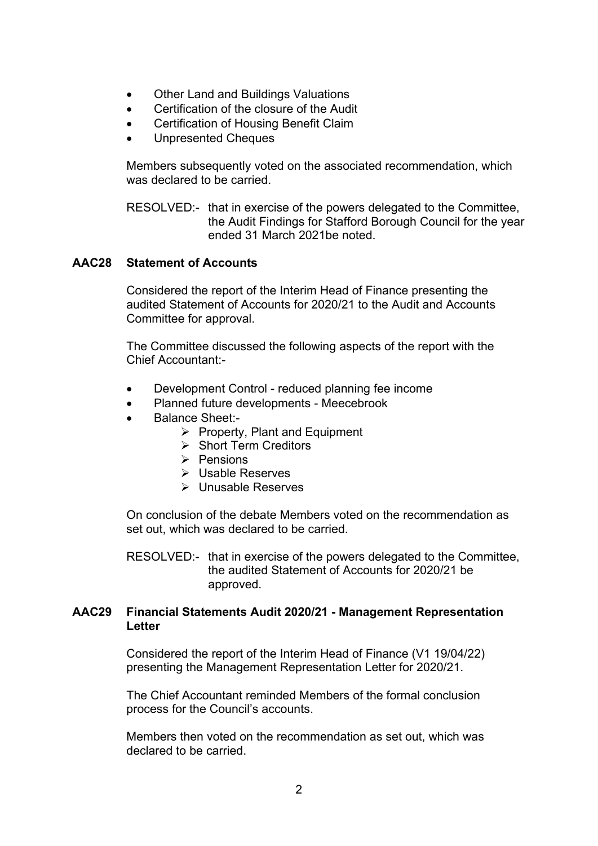- Other Land and Buildings Valuations
- Certification of the closure of the Audit
- Certification of Housing Benefit Claim
- Unpresented Cheques

Members subsequently voted on the associated recommendation, which was declared to be carried.

RESOLVED:- that in exercise of the powers delegated to the Committee, the Audit Findings for Stafford Borough Council for the year ended 31 March 2021be noted.

### **AAC28 Statement of Accounts**

Considered the report of the Interim Head of Finance presenting the audited Statement of Accounts for 2020/21 to the Audit and Accounts Committee for approval.

The Committee discussed the following aspects of the report with the Chief Accountant:-

- Development Control reduced planning fee income
- Planned future developments Meecebrook
- Balance Sheet:-
	- $\triangleright$  Property, Plant and Equipment
	- $\triangleright$  Short Term Creditors
	- $\triangleright$  Pensions
	- Usable Reserves
	- Unusable Reserves

On conclusion of the debate Members voted on the recommendation as set out, which was declared to be carried.

RESOLVED:- that in exercise of the powers delegated to the Committee, the audited Statement of Accounts for 2020/21 be approved.

### **AAC29 Financial Statements Audit 2020/21 - Management Representation Letter**

Considered the report of the Interim Head of Finance (V1 19/04/22) presenting the Management Representation Letter for 2020/21.

The Chief Accountant reminded Members of the formal conclusion process for the Council's accounts.

Members then voted on the recommendation as set out, which was declared to be carried.